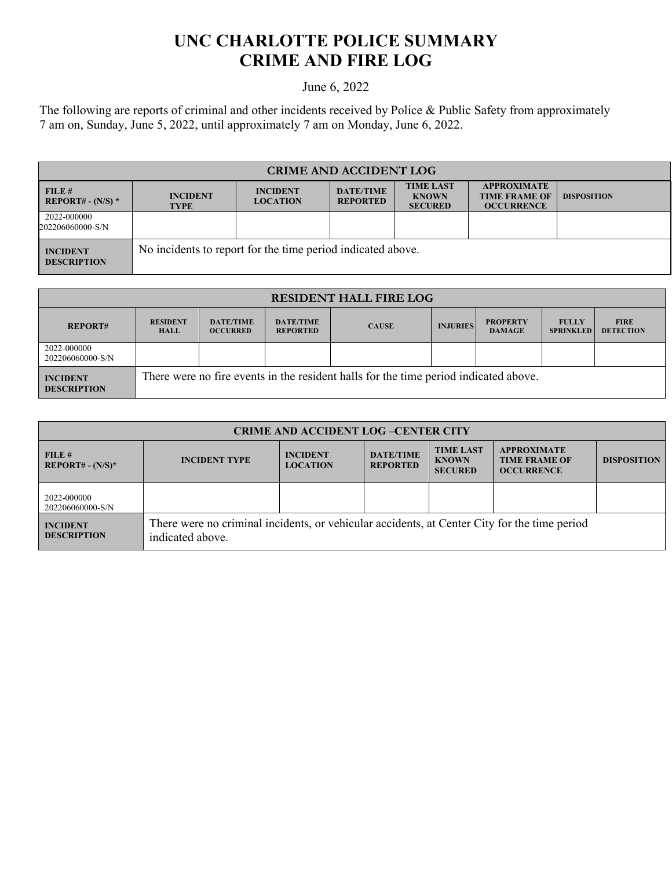## **UNC CHARLOTTE POLICE SUMMARY CRIME AND FIRE LOG**

## June 6, 2022

The following are reports of criminal and other incidents received by Police & Public Safety from approximately 7 am on, Sunday, June 5, 2022, until approximately 7 am on Monday, June 6, 2022.

| <b>CRIME AND ACCIDENT LOG</b>         |                                                             |                                    |                                     |                                                    |                                                                 |                    |
|---------------------------------------|-------------------------------------------------------------|------------------------------------|-------------------------------------|----------------------------------------------------|-----------------------------------------------------------------|--------------------|
| FILE#<br>REPORT# - $(N/S)$ *          | <b>INCIDENT</b><br><b>TYPE</b>                              | <b>INCIDENT</b><br><b>LOCATION</b> | <b>DATE/TIME</b><br><b>REPORTED</b> | <b>TIME LAST</b><br><b>KNOWN</b><br><b>SECURED</b> | <b>APPROXIMATE</b><br><b>TIME FRAME OF</b><br><b>OCCURRENCE</b> | <b>DISPOSITION</b> |
| 2022-000000<br>202206060000-S/N       |                                                             |                                    |                                     |                                                    |                                                                 |                    |
| <b>INCIDENT</b><br><b>DESCRIPTION</b> | No incidents to report for the time period indicated above. |                                    |                                     |                                                    |                                                                 |                    |

| <b>RESIDENT HALL FIRE LOG</b>         |                                |                                     |                                     |                                                                                      |                 |                                  |                                  |                                 |
|---------------------------------------|--------------------------------|-------------------------------------|-------------------------------------|--------------------------------------------------------------------------------------|-----------------|----------------------------------|----------------------------------|---------------------------------|
| <b>REPORT#</b>                        | <b>RESIDENT</b><br><b>HALL</b> | <b>DATE/TIME</b><br><b>OCCURRED</b> | <b>DATE/TIME</b><br><b>REPORTED</b> | <b>CAUSE</b>                                                                         | <b>INJURIES</b> | <b>PROPERTY</b><br><b>DAMAGE</b> | <b>FULLY</b><br><b>SPRINKLED</b> | <b>FIRE</b><br><b>DETECTION</b> |
| 2022-000000<br>202206060000-S/N       |                                |                                     |                                     |                                                                                      |                 |                                  |                                  |                                 |
| <b>INCIDENT</b><br><b>DESCRIPTION</b> |                                |                                     |                                     | There were no fire events in the resident halls for the time period indicated above. |                 |                                  |                                  |                                 |

| <b>CRIME AND ACCIDENT LOG-CENTER CITY</b> |                                                                                                                  |                                    |                                     |                                                    |                                                                 |                    |  |
|-------------------------------------------|------------------------------------------------------------------------------------------------------------------|------------------------------------|-------------------------------------|----------------------------------------------------|-----------------------------------------------------------------|--------------------|--|
| FILE#<br>$REPORT# - (N/S)*$               | <b>INCIDENT TYPE</b>                                                                                             | <b>INCIDENT</b><br><b>LOCATION</b> | <b>DATE/TIME</b><br><b>REPORTED</b> | <b>TIME LAST</b><br><b>KNOWN</b><br><b>SECURED</b> | <b>APPROXIMATE</b><br><b>TIME FRAME OF</b><br><b>OCCURRENCE</b> | <b>DISPOSITION</b> |  |
| 2022-000000<br>202206060000-S/N           |                                                                                                                  |                                    |                                     |                                                    |                                                                 |                    |  |
| <b>INCIDENT</b><br><b>DESCRIPTION</b>     | There were no criminal incidents, or vehicular accidents, at Center City for the time period<br>indicated above. |                                    |                                     |                                                    |                                                                 |                    |  |